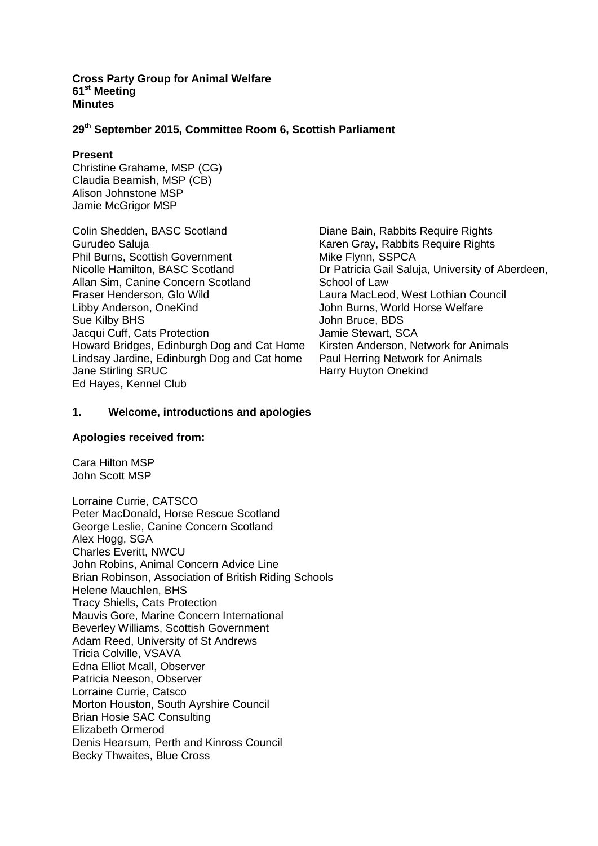#### **Cross Party Group for Animal Welfare 61st Meeting Minutes**

## **29th September 2015, Committee Room 6, Scottish Parliament**

#### **Present**

Christine Grahame, MSP (CG) Claudia Beamish, MSP (CB) Alison Johnstone MSP Jamie McGrigor MSP

Colin Shedden, BASC Scotland Gurudeo Saluja Phil Burns, Scottish Government Nicolle Hamilton, BASC Scotland Allan Sim, Canine Concern Scotland Fraser Henderson, Glo Wild Libby Anderson, OneKind Sue Kilby BHS Jacqui Cuff, Cats Protection Howard Bridges, Edinburgh Dog and Cat Home Lindsay Jardine, Edinburgh Dog and Cat home Jane Stirling SRUC Ed Hayes, Kennel Club

Diane Bain, Rabbits Require Rights Karen Gray, Rabbits Require Rights Mike Flynn, SSPCA Dr Patricia Gail Saluja, University of Aberdeen, School of Law Laura MacLeod, West Lothian Council John Burns, World Horse Welfare John Bruce, BDS Jamie Stewart, SCA Kirsten Anderson, Network for Animals Paul Herring Network for Animals Harry Huyton Onekind

## **1. Welcome, introductions and apologies**

#### **Apologies received from:**

Cara Hilton MSP John Scott MSP

Lorraine Currie, CATSCO Peter MacDonald, Horse Rescue Scotland George Leslie, Canine Concern Scotland Alex Hogg, SGA Charles Everitt, NWCU John Robins, Animal Concern Advice Line Brian Robinson, Association of British Riding Schools Helene Mauchlen, BHS Tracy Shiells, Cats Protection Mauvis Gore, Marine Concern International Beverley Williams, Scottish Government Adam Reed, University of St Andrews Tricia Colville, VSAVA Edna Elliot Mcall, Observer Patricia Neeson, Observer Lorraine Currie, Catsco Morton Houston, South Ayrshire Council Brian Hosie SAC Consulting Elizabeth Ormerod Denis Hearsum, Perth and Kinross Council Becky Thwaites, Blue Cross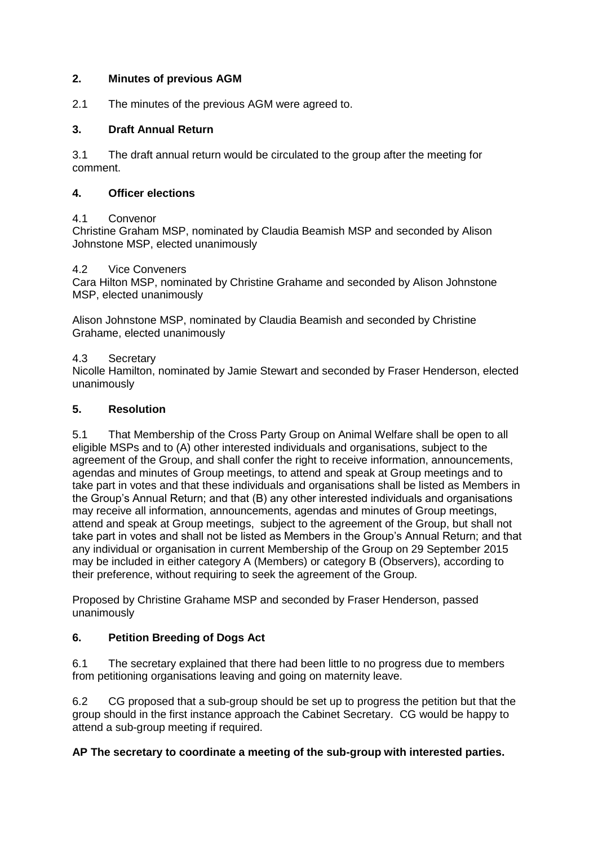## **2. Minutes of previous AGM**

2.1 The minutes of the previous AGM were agreed to.

## **3. Draft Annual Return**

3.1 The draft annual return would be circulated to the group after the meeting for comment.

### **4. Officer elections**

### 4.1 Convenor

Christine Graham MSP, nominated by Claudia Beamish MSP and seconded by Alison Johnstone MSP, elected unanimously

#### 4.2 Vice Conveners

Cara Hilton MSP, nominated by Christine Grahame and seconded by Alison Johnstone MSP, elected unanimously

Alison Johnstone MSP, nominated by Claudia Beamish and seconded by Christine Grahame, elected unanimously

### 4.3 Secretary

Nicolle Hamilton, nominated by Jamie Stewart and seconded by Fraser Henderson, elected unanimously

### **5. Resolution**

5.1 That Membership of the Cross Party Group on Animal Welfare shall be open to all eligible MSPs and to (A) other interested individuals and organisations, subject to the agreement of the Group, and shall confer the right to receive information, announcements, agendas and minutes of Group meetings, to attend and speak at Group meetings and to take part in votes and that these individuals and organisations shall be listed as Members in the Group's Annual Return; and that (B) any other interested individuals and organisations may receive all information, announcements, agendas and minutes of Group meetings, attend and speak at Group meetings, subject to the agreement of the Group, but shall not take part in votes and shall not be listed as Members in the Group's Annual Return; and that any individual or organisation in current Membership of the Group on 29 September 2015 may be included in either category A (Members) or category B (Observers), according to their preference, without requiring to seek the agreement of the Group.

Proposed by Christine Grahame MSP and seconded by Fraser Henderson, passed unanimously

### **6. Petition Breeding of Dogs Act**

6.1 The secretary explained that there had been little to no progress due to members from petitioning organisations leaving and going on maternity leave.

6.2 CG proposed that a sub-group should be set up to progress the petition but that the group should in the first instance approach the Cabinet Secretary. CG would be happy to attend a sub-group meeting if required.

### **AP The secretary to coordinate a meeting of the sub-group with interested parties.**